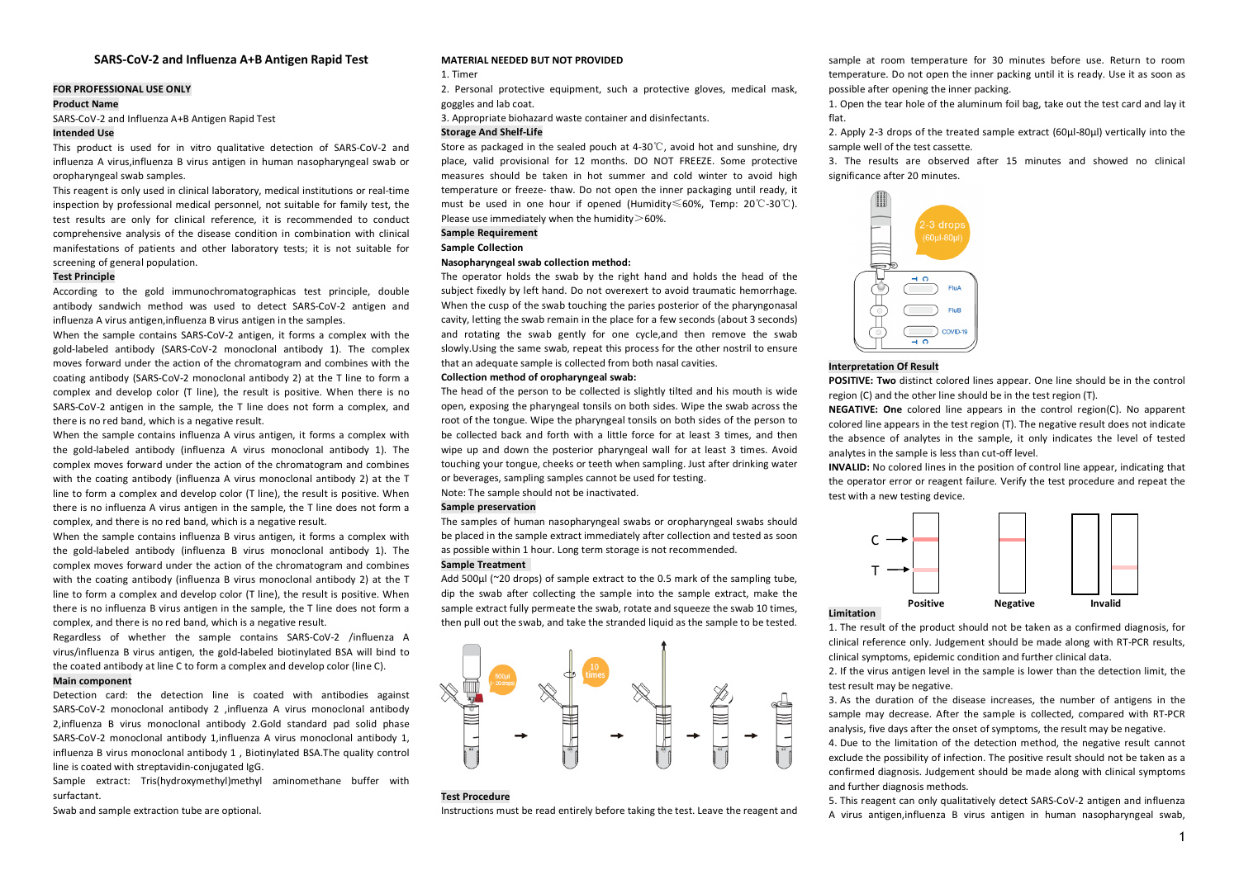# **SARS-CoV-2 and Influenza A+B Antigen Rapid Test**

# **FOR PROFESSIONAL USE ONLY**

# **Product Name**

SARS-CoV-2 and Influenza A+B Antigen Rapid Test

#### **Intended Use**

This product is used for in vitro qualitative detection of SARS-CoV-2 and influenza A virus,influenza B virus antigen in human nasopharyngeal swab or oropharyngeal swab samples.

This reagent is only used in clinical laboratory, medical institutions or real-time inspection by professional medical personnel, not suitable for family test, the test results are only for clinical reference, it is recommended to conduct comprehensive analysis of the disease condition in combination with clinical manifestations of patients and other laboratory tests; it is not suitable for screening of general population.

## **Test Principle**

According to the gold immunochromatographicas test principle, double antibody sandwich method was used to detect SARS-CoV-2 antigen and influenza A virus antigen,influenza B virus antigen in the samples.

When the sample contains SARS-CoV-2 antigen, it forms a complex with the gold-labeled antibody (SARS-CoV-2 monoclonal antibody 1). The complex moves forward under the action of the chromatogram and combines with the coating antibody (SARS-CoV-2 monoclonal antibody 2) at the T line to form a complex and develop color (T line), the result is positive. When there is no SARS-CoV-2 antigen in the sample, the T line does not form a complex, and there is no red band, which is a negative result.

When the sample contains influenza A virus antigen, it forms a complex with the gold-labeled antibody (influenza A virus monoclonal antibody 1). The complex moves forward under the action of the chromatogram and combines with the coating antibody (influenza A virus monoclonal antibody 2) at the T line to form a complex and develop color (T line), the result is positive. When there is no influenza A virus antigen in the sample, the T line does not form a complex, and there is no red band, which is a negative result.

When the sample contains influenza B virus antigen, it forms a complex with the gold-labeled antibody (influenza B virus monoclonal antibody 1). The complex moves forward under the action of the chromatogram and combines with the coating antibody (influenza B virus monoclonal antibody 2) at the T line to form a complex and develop color (T line), the result is positive. When there is no influenza B virus antigen in the sample, the T line does not form a complex, and there is no red band, which is a negative result.

Regardless of whether the sample contains SARS-CoV-2 /influenza A virus/influenza B virus antigen, the gold-labeled biotinylated BSA will bind to the coated antibody at line C to form a complex and develop color (line C).

#### **Main component**

Detection card: the detection line is coated with antibodies against SARS-CoV-2 monoclonal antibody 2 ,influenza A virus monoclonal antibody 2,influenza B virus monoclonal antibody 2.Gold standard pad solid phase SARS-CoV-2 monoclonal antibody 1,influenza A virus monoclonal antibody 1, influenza B virus monoclonal antibody 1 , Biotinylated BSA.The quality control line is coated with streptavidin-conjugated IgG.

Sample extract: Tris(hydroxymethyl)methyl aminomethane buffer with surfactant.

Swab and sample extraction tube are optional.

## **MATERIAL NEEDED BUT NOT PROVIDED**

#### 1. Timer

2. Personal protective equipment, such a protective gloves, medical mask, goggles and lab coat.

3. Appropriate biohazard waste container and disinfectants.

#### **Storage And Shelf-Life**

Store as packaged in the sealed pouch at 4-30℃, avoid hot and sunshine, dry place, valid provisional for 12 months. DO NOT FREEZE. Some protective measures should be taken in hot summer and cold winter to avoid high temperature or freeze- thaw. Do not open the inner packaging until ready, it must be used in one hour if opened (Humidity≤60%, Temp: 20℃-30℃). Please use immediately when the humidity $>$ 60%.

**Sample Requirement**

# **Sample Collection**

# **Nasopharyngeal swab collection method:**

The operator holds the swab by the right hand and holds the head of the subject fixedly by left hand. Do not overexert to avoid traumatic hemorrhage. When the cusp of the swab touching the paries posterior of the pharyngonasal cavity, letting the swab remain in the place for a few seconds (about 3 seconds) and rotating the swab gently for one cycle,and then remove the swab slowly.Using the same swab, repeat this process for the other nostril to ensure that an adequate sample is collected from both nasal cavities.

## **Collection method of oropharyngeal swab:**

The head of the person to be collected is slightly tilted and his mouth is wide open, exposing the pharyngeal tonsils on both sides. Wipe the swab across the root of the tongue. Wipe the pharyngeal tonsils on both sides of the person to be collected back and forth with a little force for at least 3 times, and then wipe up and down the posterior pharyngeal wall for at least 3 times. Avoid touching your tongue, cheeks or teeth when sampling. Just after drinking water or beverages, sampling samples cannot be used for testing.

Note: The sample should not be inactivated.

## **Sample preservation**

The samples of human nasopharyngeal swabs or oropharyngeal swabs should be placed in the sample extract immediately after collection and tested as soon as possible within 1 hour. Long term storage is not recommended.

## **Sample Treatment**

Add 500ul (~20 drops) of sample extract to the 0.5 mark of the sampling tube. dip the swab after collecting the sample into the sample extract, make the sample extract fully permeate the swab, rotate and squeeze the swab 10 times, then pull out the swab, and take the stranded liquid as the sample to be tested.



#### **Test Procedure**

Instructions must be read entirely before taking the test. Leave the reagent and

sample at room temperature for 30 minutes before use. Return to room temperature. Do not open the inner packing until it is ready. Use it as soon as possible after opening the inner packing.

1. Open the tear hole of the aluminum foil bag, take out the test card and lay it flat.

2. Apply 2-3 drops of the treated sample extract (60ul-80ul) vertically into the sample well of the test cassette.

3. The results are observed after 15 minutes and showed no clinical significance after 20 minutes.



### **Interpretation Of Result**

**POSITIVE: Two** distinct colored lines appear. One line should be in the control region (C) and the other line should be in the test region (T).

**NEGATIVE: One** colored line appears in the control region(C). No apparent colored line appears in the test region (T). The negative result does not indicate the absence of analytes in the sample, it only indicates the level of tested analytes in the sample is less than cut-off level.

**INVALID:** No colored lines in the position of control line appear, indicating that the operator error or reagent failure. Verify the test procedure and repeat the test with a new testing device.



#### **Limitation**

1. The result of the product should not be taken as a confirmed diagnosis, for clinical reference only. Judgement should be made along with RT-PCR results, clinical symptoms, epidemic condition and further clinical data.

2. If the virus antigen level in the sample is lower than the detection limit, the test result may be negative.

3. As the duration of the disease increases, the number of antigens in the sample may decrease. After the sample is collected, compared with RT-PCR analysis, five days after the onset of symptoms, the result may be negative.

4. Due to the limitation of the detection method, the negative result cannot exclude the possibility of infection. The positive result should not be taken as a confirmed diagnosis. Judgement should be made along with clinical symptoms and further diagnosis methods.

5. This reagent can only qualitatively detect SARS-CoV-2 antigen and influenza A virus antigen,influenza B virus antigen in human nasopharyngeal swab,